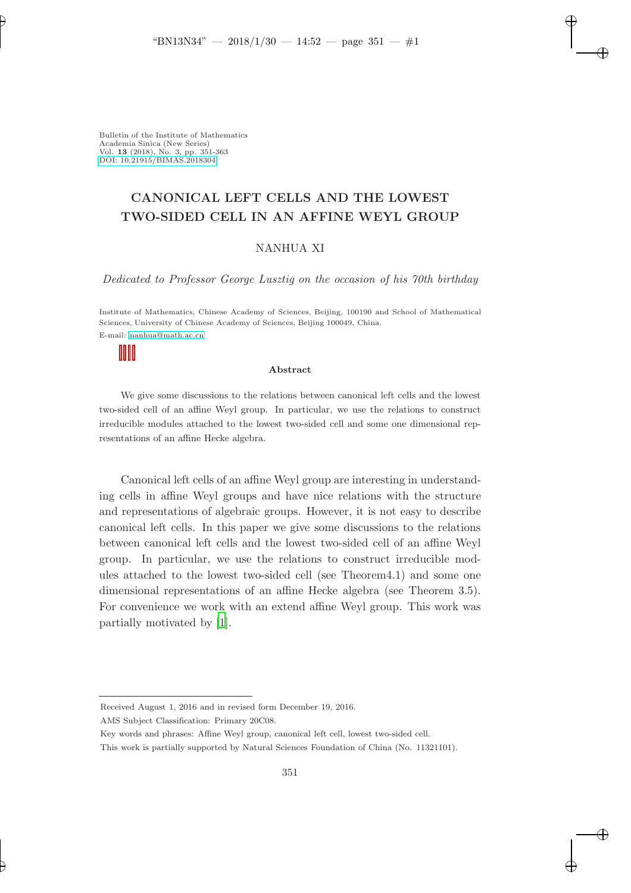# CANONICAL LEFT CELLS AND THE LOWEST TWO-SIDED CELL IN AN AFFINE WEYL GROUP

### NANHUA XI

Dedicated to Professor George Lusztig on the occasion of his 70th birthday

Institute of Mathematics, Chinese Academy of Sciences, Beijing, 100190 and School of Mathematical Sciences, University of Chinese Academy of Sciences, Beijing 100049, China. E-mail: [nanhua@math.ac.cn](mailto:nanhua@math.ac.cn)

#### Abstract

We give some discussions to the relations between canonical left cells and the lowest two-sided cell of an affine Weyl group. In particular, we use the relations to construct irreducible modules attached to the lowest two-sided cell and some one dimensional representations of an affine Hecke algebra.

Canonical left cells of an affine Weyl group are interesting in understanding cells in affine Weyl groups and have nice relations with the structure and representations of algebraic groups. However, it is not easy to describe canonical left cells. In this paper we give some discussions to the relations between canonical left cells and the lowest two-sided cell of an affine Weyl group. In particular, we use the relations to construct irreducible modules attached to the lowest two-sided cell (see Theorem4.1) and some one dimensional representations of an affine Hecke algebra (see Theorem 3.5). For convenience we work with an extend affine Weyl group. This work was partially motivated by [\[1](#page-11-0)].

Received August 1, 2016 and in revised form December 19, 2016.

AMS Subject Classification: Primary 20C08.

Key words and phrases: Affine Weyl group, canonical left cell, lowest two-sided cell.

This work is partially supported by Natural Sciences Foundation of China (No. 11321101).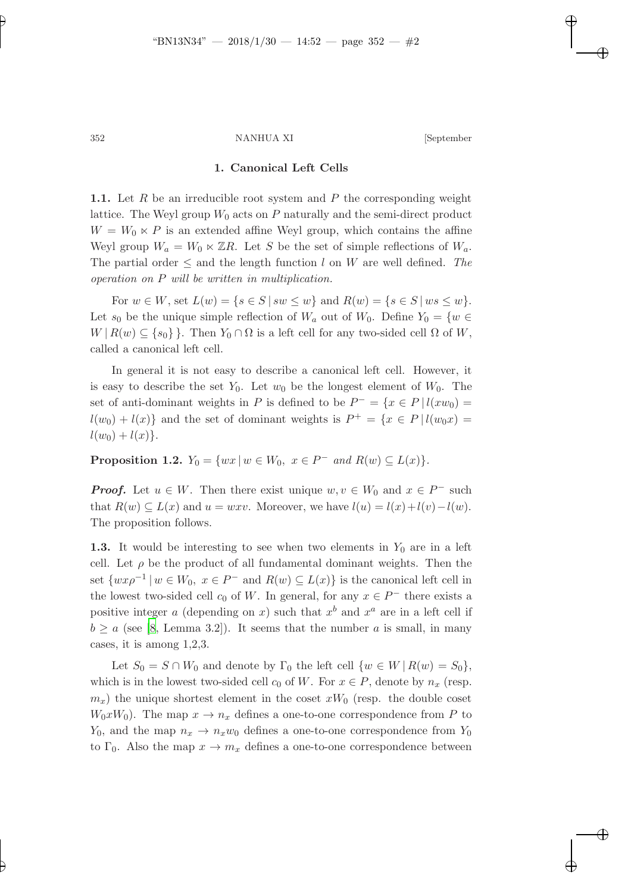## 1. Canonical Left Cells

**1.1.** Let R be an irreducible root system and P the corresponding weight lattice. The Weyl group  $W_0$  acts on P naturally and the semi-direct product  $W = W_0 \ltimes P$  is an extended affine Weyl group, which contains the affine Weyl group  $W_a = W_0 \ltimes \mathbb{Z}R$ . Let S be the set of simple reflections of  $W_a$ . The partial order  $\leq$  and the length function l on W are well defined. The operation on P will be written in multiplication.

For  $w \in W$ , set  $L(w) = \{s \in S \mid sw \leq w\}$  and  $R(w) = \{s \in S \mid ws \leq w\}.$ Let  $s_0$  be the unique simple reflection of  $W_a$  out of  $W_0$ . Define  $Y_0 = \{w \in$  $W | R(w) \subseteq \{s_0\}$ . Then  $Y_0 \cap \Omega$  is a left cell for any two-sided cell  $\Omega$  of W, called a canonical left cell.

In general it is not easy to describe a canonical left cell. However, it is easy to describe the set  $Y_0$ . Let  $w_0$  be the longest element of  $W_0$ . The set of anti-dominant weights in P is defined to be  $P^- = \{x \in P \mid l(xw_0) =$  $l(w_0) + l(x)$  and the set of dominant weights is  $P^+ = \{x \in P \mid l(w_0x) =$  $l(w_0) + l(x)$ .

**Proposition 1.2.**  $Y_0 = \{ wx \mid w \in W_0, \ x \in P^- \ and \ R(w) \subseteq L(x) \}.$ 

**Proof.** Let  $u \in W$ . Then there exist unique  $w, v \in W_0$  and  $x \in P^-$  such that  $R(w) \subseteq L(x)$  and  $u = wxv$ . Moreover, we have  $l(u) = l(x)+l(v)-l(w)$ . The proposition follows.

1.3. It would be interesting to see when two elements in  $Y_0$  are in a left cell. Let  $\rho$  be the product of all fundamental dominant weights. Then the set  $\{wx\rho^{-1} | w \in W_0, x \in P^- \text{ and } R(w) \subseteq L(x)\}\$ is the canonical left cell in the lowest two-sided cell  $c_0$  of W. In general, for any  $x \in P^-$  there exists a positive integer a (depending on x) such that  $x^b$  and  $x^a$  are in a left cell if  $b \ge a$  (see [\[8,](#page-12-0) Lemma 3.2]). It seems that the number a is small, in many cases, it is among 1,2,3.

Let  $S_0 = S \cap W_0$  and denote by  $\Gamma_0$  the left cell  $\{w \in W \mid R(w) = S_0\},$ which is in the lowest two-sided cell  $c_0$  of W. For  $x \in P$ , denote by  $n_x$  (resp.  $m_x$ ) the unique shortest element in the coset  $xW_0$  (resp. the double coset  $W_0xW_0$ . The map  $x \to n_x$  defines a one-to-one correspondence from P to  $Y_0$ , and the map  $n_x \rightarrow n_xw_0$  defines a one-to-one correspondence from  $Y_0$ to  $\Gamma_0$ . Also the map  $x \to m_x$  defines a one-to-one correspondence between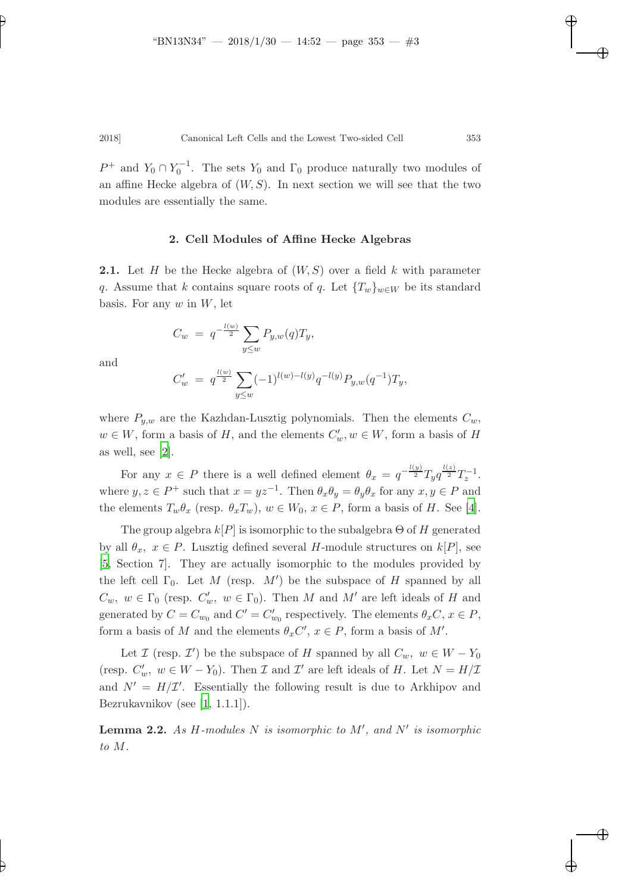$P^+$  and  $Y_0 \cap Y_0^{-1}$ . The sets  $Y_0$  and  $\Gamma_0$  produce naturally two modules of an affine Hecke algebra of  $(W, S)$ . In next section we will see that the two modules are essentially the same.

# 2. Cell Modules of Affine Hecke Algebras

**2.1.** Let H be the Hecke algebra of  $(W, S)$  over a field k with parameter q. Assume that k contains square roots of q. Let  ${T_w}_{w\in W}$  be its standard basis. For any  $w$  in  $W$ , let

$$
C_w = q^{-\frac{l(w)}{2}} \sum_{y \leq w} P_{y,w}(q) T_y,
$$

and

$$
C'_w = q^{\frac{l(w)}{2}} \sum_{y \le w} (-1)^{l(w)-l(y)} q^{-l(y)} P_{y,w}(q^{-1}) T_y,
$$

where  $P_{y,w}$  are the Kazhdan-Lusztig polynomials. Then the elements  $C_w$ ,  $w \in W$ , form a basis of H, and the elements  $C'_w, w \in W$ , form a basis of H as well, see [\[2](#page-11-1)].

For any  $x \in P$  there is a well defined element  $\theta_x = q^{-\frac{l(y)}{2}} T_y q^{\frac{l(z)}{2}} T_z^{-1}$ . where  $y, z \in P^+$  such that  $x = yz^{-1}$ . Then  $\theta_x \theta_y = \theta_y \theta_x$  for any  $x, y \in P$  and the elements  $T_w\theta_x$  (resp.  $\theta_x T_w$ ),  $w \in W_0$ ,  $x \in P$ , form a basis of H. See [\[4](#page-11-2)].

The group algebra  $k[P]$  is isomorphic to the subalgebra  $\Theta$  of H generated by all  $\theta_x$ ,  $x \in P$ . Lusztig defined several H-module structures on  $k[P]$ , see [\[5,](#page-11-3) Section 7]. They are actually isomorphic to the modules provided by the left cell  $\Gamma_0$ . Let M (resp. M') be the subspace of H spanned by all  $C_w$ ,  $w \in \Gamma_0$  (resp.  $C'_w$ ,  $w \in \Gamma_0$ ). Then M and M' are left ideals of H and generated by  $C = C_{w_0}$  and  $C' = C'_{w_0}$  respectively. The elements  $\theta_x C, x \in P$ , form a basis of M and the elements  $\theta_x C'$ ,  $x \in P$ , form a basis of M'.

Let  $\mathcal I$  (resp.  $\mathcal I'$ ) be the subspace of H spanned by all  $C_w$ ,  $w \in W - Y_0$ (resp.  $C'_w$ ,  $w \in W - Y_0$ ). Then  $\mathcal I$  and  $\mathcal I'$  are left ideals of  $H$ . Let  $N = H/\mathcal I$ and  $N' = H/\mathcal{I}'$ . Essentially the following result is due to Arkhipov and Bezrukavnikov (see [\[1,](#page-11-0) 1.1.1]).

<span id="page-2-0"></span>**Lemma 2.2.** As H-modules N is isomorphic to  $M'$ , and  $N'$  is isomorphic to M.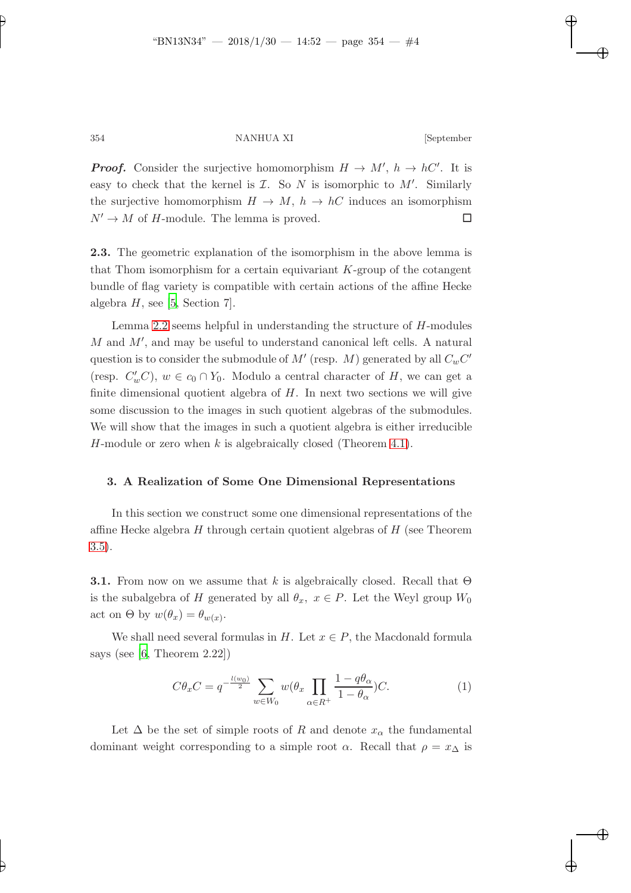**Proof.** Consider the surjective homomorphism  $H \to M'$ ,  $h \to hC'$ . It is easy to check that the kernel is  $I$ . So  $N$  is isomorphic to  $M'$ . Similarly the surjective homomorphism  $H \to M$ ,  $h \to hC$  induces an isomorphism  $N' \to M$  of H-module. The lemma is proved.

2.3. The geometric explanation of the isomorphism in the above lemma is that Thom isomorphism for a certain equivariant  $K$ -group of the cotangent bundle of flag variety is compatible with certain actions of the affine Hecke algebra  $H$ , see [\[5,](#page-11-3) Section 7].

Lemma [2.2](#page-2-0) seems helpful in understanding the structure of H-modules  $M$  and  $M'$ , and may be useful to understand canonical left cells. A natural question is to consider the submodule of  $M'$  (resp.  $M$ ) generated by all  $C_w C'$ (resp.  $C'_w C$ ),  $w \in c_0 \cap Y_0$ . Modulo a central character of H, we can get a finite dimensional quotient algebra of  $H$ . In next two sections we will give some discussion to the images in such quotient algebras of the submodules. We will show that the images in such a quotient algebra is either irreducible H-module or zero when k is algebraically closed (Theorem [4.1\)](#page-9-0).

# 3. A Realization of Some One Dimensional Representations

In this section we construct some one dimensional representations of the affine Hecke algebra  $H$  through certain quotient algebras of  $H$  (see Theorem [3.5\)](#page-7-0).

**3.1.** From now on we assume that k is algebraically closed. Recall that  $\Theta$ is the subalgebra of H generated by all  $\theta_x$ ,  $x \in P$ . Let the Weyl group  $W_0$ act on  $\Theta$  by  $w(\theta_x) = \theta_{w(x)}$ .

We shall need several formulas in H. Let  $x \in P$ , the Macdonald formula says (see [\[6](#page-11-4), Theorem 2.22])

<span id="page-3-0"></span>
$$
C\theta_x C = q^{-\frac{l(w_0)}{2}} \sum_{w \in W_0} w(\theta_x \prod_{\alpha \in R^+} \frac{1 - q\theta_\alpha}{1 - \theta_\alpha}) C.
$$
 (1)

Let  $\Delta$  be the set of simple roots of R and denote  $x_{\alpha}$  the fundamental dominant weight corresponding to a simple root  $\alpha$ . Recall that  $\rho = x_{\Delta}$  is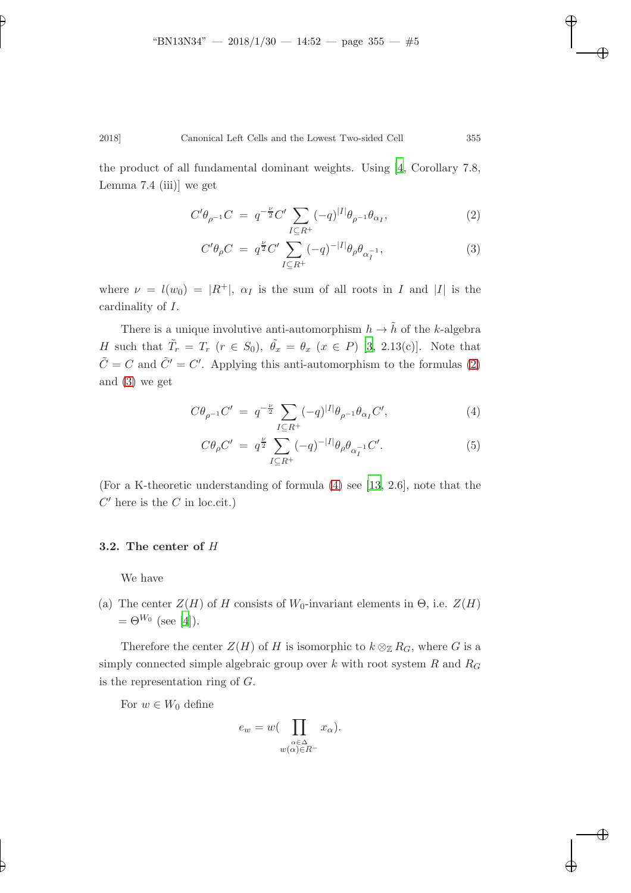the product of all fundamental dominant weights. Using [\[4](#page-11-2), Corollary 7.8, Lemma 7.4 (iii)] we get

<span id="page-4-0"></span>
$$
C'\theta_{\rho^{-1}}C = q^{-\frac{\nu}{2}}C'\sum_{I\subseteq R^{+}}(-q)^{|I|}\theta_{\rho^{-1}}\theta_{\alpha_{I}},
$$
\n(2)

$$
C'\theta_{\rho}C = q^{\frac{\nu}{2}}C'\sum_{I\subseteq R^{+}}(-q)^{-|I|}\theta_{\rho}\theta_{\alpha_{I}^{-1}},\tag{3}
$$

where  $\nu = l(w_0) = |R^+|$ ,  $\alpha_I$  is the sum of all roots in I and |I| is the cardinality of I.

There is a unique involutive anti-automorphism  $h \to \tilde{h}$  of the  $k\text{-algebra}$ H such that  $\tilde{T}_r = T_r$   $(r \in S_0)$ ,  $\tilde{\theta}_x = \theta_x$   $(x \in P)$  [\[3](#page-11-5), 2.13(c)]. Note that  $\tilde{C} = C$  and  $\tilde{C}' = C'$ . Applying this anti-automorphism to the formulas [\(2\)](#page-4-0) and [\(3\)](#page-4-0) we get

<span id="page-4-1"></span>
$$
C\theta_{\rho^{-1}}C' = q^{-\frac{\nu}{2}} \sum_{I \subseteq R^{+}} (-q)^{|I|} \theta_{\rho^{-1}} \theta_{\alpha_{I}} C', \qquad (4)
$$

$$
C\theta_{\rho}C' = q^{\frac{\nu}{2}} \sum_{I \subseteq R^{+}} (-q)^{-|I|} \theta_{\rho} \theta_{\alpha_{I}^{-1}} C'. \tag{5}
$$

(For a K-theoretic understanding of formula [\(4\)](#page-4-1) see [\[13](#page-12-1), 2.6], note that the  $C'$  here is the  $C$  in loc.cit.)

# 3.2. The center of H

We have

(a) The center  $Z(H)$  of H consists of  $W_0$ -invariant elements in  $\Theta$ , i.e.  $Z(H)$  $=\Theta^{W_0}$  (see [\[4\]](#page-11-2)).

Therefore the center  $Z(H)$  of H is isomorphic to  $k \otimes_{\mathbb{Z}} R_G$ , where G is a simply connected simple algebraic group over  $k$  with root system  $R$  and  $R_G$ is the representation ring of G.

For  $w \in W_0$  define

$$
e_w = w \left( \prod_{\substack{\alpha \in \Delta \\ w(\alpha) \in R^-}} x_\alpha \right).
$$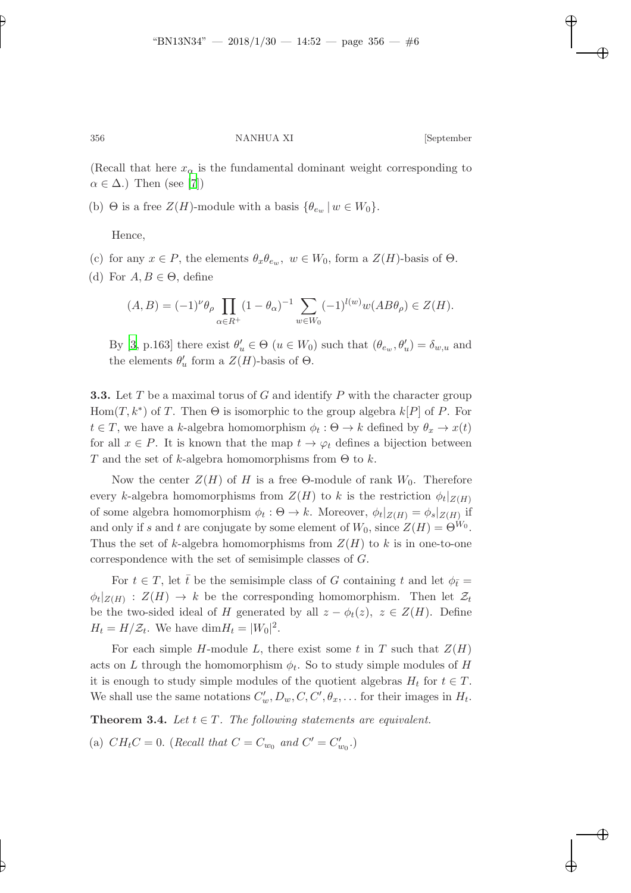(Recall that here  $x_{\alpha}$  is the fundamental dominant weight corresponding to  $\alpha \in \Delta$ .) Then (see [\[7](#page-12-2)])

(b)  $\Theta$  is a free  $Z(H)$ -module with a basis  $\{\theta_{e_w} | w \in W_0\}.$ 

Hence,

- (c) for any  $x \in P$ , the elements  $\theta_x \theta_{e_w}$ ,  $w \in W_0$ , form a  $Z(H)$ -basis of  $\Theta$ .
- (d) For  $A, B \in \Theta$ , define

$$
(A, B) = (-1)^{\nu} \theta_{\rho} \prod_{\alpha \in R^{+}} (1 - \theta_{\alpha})^{-1} \sum_{w \in W_{0}} (-1)^{l(w)} w(AB\theta_{\rho}) \in Z(H).
$$

By [\[3](#page-11-5), p.163] there exist  $\theta'_u \in \Theta$  ( $u \in W_0$ ) such that  $(\theta_{e_w}, \theta'_u) = \delta_{w,u}$  and the elements  $\theta'_u$  form a  $Z(H)$ -basis of  $\Theta$ .

**3.3.** Let T be a maximal torus of G and identify P with the character group Hom $(T, k^*)$  of T. Then  $\Theta$  is isomorphic to the group algebra  $k[P]$  of P. For  $t \in T$ , we have a k-algebra homomorphism  $\phi_t : \Theta \to k$  defined by  $\theta_x \to x(t)$ for all  $x \in P$ . It is known that the map  $t \to \varphi_t$  defines a bijection between T and the set of k-algebra homomorphisms from  $\Theta$  to k.

Now the center  $Z(H)$  of H is a free Θ-module of rank  $W_0$ . Therefore every k-algebra homomorphisms from  $Z(H)$  to k is the restriction  $\phi_t|_{Z(H)}$ of some algebra homomorphism  $\phi_t : \Theta \to k$ . Moreover,  $\phi_t|_{Z(H)} = \phi_s|_{Z(H)}$  if and only if s and t are conjugate by some element of  $W_0$ , since  $Z(H) = \Theta^{W_0}$ . Thus the set of k-algebra homomorphisms from  $Z(H)$  to k is in one-to-one correspondence with the set of semisimple classes of G.

For  $t \in T$ , let  $\bar{t}$  be the semisimple class of G containing t and let  $\phi_{\bar{t}} =$  $\phi_t|_{Z(H)}: Z(H) \to k$  be the corresponding homomorphism. Then let  $\mathcal{Z}_t$ be the two-sided ideal of H generated by all  $z - \phi_t(z)$ ,  $z \in Z(H)$ . Define  $H_t = H/\mathcal{Z}_t$ . We have  $\dim H_t = |W_0|^2$ .

For each simple H-module L, there exist some t in T such that  $Z(H)$ acts on L through the homomorphism  $\phi_t$ . So to study simple modules of H it is enough to study simple modules of the quotient algebras  $H_t$  for  $t \in T$ . We shall use the same notations  $C'_w, D_w, C, C', \theta_x, \dots$  for their images in  $H_t$ .

<span id="page-5-0"></span>**Theorem 3.4.** Let  $t \in T$ . The following statements are equivalent.

(a)  $CH_tC = 0$ . (Recall that  $C = C_{w_0}$  and  $C' = C'_{w_0}$ .)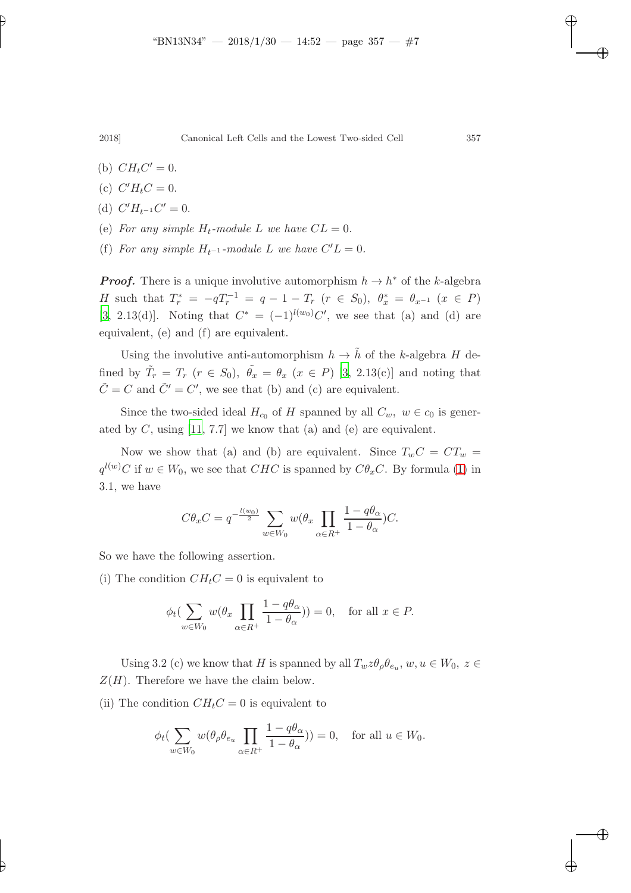- (b)  $CH<sub>t</sub>C' = 0$ .
- (c)  $C' H_t C = 0$ .
- (d)  $C'H_{t^{-1}}C'=0.$
- (e) For any simple  $H_t$ -module L we have  $CL = 0$ .
- (f) For any simple  $H_{t^{-1}}$ -module L we have  $C'L = 0$ .

**Proof.** There is a unique involutive automorphism  $h \to h^*$  of the k-algebra H such that  $T_r^* = -qT_r^{-1} = q - 1 - T_r$   $(r \in S_0)$ ,  $\theta_x^* = \theta_{x^{-1}}$   $(x \in P)$ [\[3,](#page-11-5) 2.13(d)]. Noting that  $C^* = (-1)^{l(w_0)}C'$ , we see that (a) and (d) are equivalent, (e) and (f) are equivalent.

Using the involutive anti-automorphism  $h \to \tilde{h}$  of the k-algebra H defined by  $\tilde{T}_r = T_r$   $(r \in S_0)$ ,  $\tilde{\theta}_x = \theta_x$   $(x \in P)$  [\[3](#page-11-5), 2.13(c)] and noting that  $\tilde{C} = C$  and  $\tilde{C}' = C'$ , we see that (b) and (c) are equivalent.

Since the two-sided ideal  $H_{c_0}$  of H spanned by all  $C_w$ ,  $w \in c_0$  is generated by C, using  $[11, 7.7]$  we know that (a) and (e) are equivalent.

Now we show that (a) and (b) are equivalent. Since  $T_wC = CT_w$  =  $q^{l(w)}C$  if  $w \in W_0$ , we see that  $CHC$  is spanned by  $C\theta_x C$ . By formula [\(1\)](#page-3-0) in 3.1, we have

$$
C\theta_x C = q^{-\frac{l(w_0)}{2}} \sum_{w \in W_0} w(\theta_x \prod_{\alpha \in R^+} \frac{1 - q\theta_\alpha}{1 - \theta_\alpha}) C.
$$

So we have the following assertion.

(i) The condition  $CH<sub>t</sub>C = 0$  is equivalent to

$$
\phi_t(\sum_{w \in W_0} w(\theta_x \prod_{\alpha \in R^+} \frac{1 - q\theta_\alpha}{1 - \theta_\alpha})) = 0, \text{ for all } x \in P.
$$

Using 3.2 (c) we know that H is spanned by all  $T_w z \theta_\rho \theta_{e_u}, w, u \in W_0, z \in$  $Z(H)$ . Therefore we have the claim below.

(ii) The condition  $CH<sub>t</sub>C = 0$  is equivalent to

$$
\phi_t(\sum_{w \in W_0} w(\theta_\rho \theta_{e_u} \prod_{\alpha \in R^+} \frac{1 - q\theta_\alpha}{1 - \theta_\alpha})) = 0, \text{ for all } u \in W_0.
$$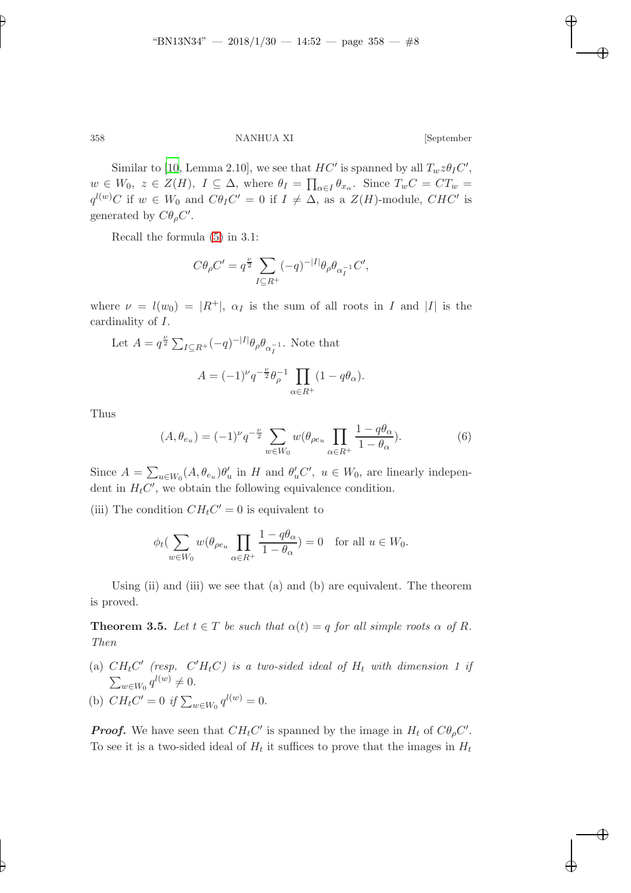Similar to [\[10,](#page-12-4) Lemma 2.10], we see that  $HC'$  is spanned by all  $T_w z \theta_I C'$ ,  $w \in W_0, z \in Z(H), I \subseteq \Delta$ , where  $\theta_I = \prod_{\alpha \in I} \theta_{x_\alpha}$ . Since  $T_wC = CT_w$  $q^{l(w)}C$  if  $w \in W_0$  and  $C\theta_lC' = 0$  if  $I \neq \Delta$ , as a  $Z(H)$ -module,  $CHC'$  is generated by  $C\theta_{\rho}C'$ .

Recall the formula [\(5\)](#page-4-1) in 3.1:

$$
C\theta_{\rho}C' = q^{\frac{\nu}{2}} \sum_{I \subseteq R^{+}} (-q)^{-|I|} \theta_{\rho} \theta_{\alpha_{I}^{-1}} C',
$$

where  $\nu = l(w_0) = |R^+|$ ,  $\alpha_I$  is the sum of all roots in I and |I| is the cardinality of I.

Let 
$$
A = q^{\frac{\nu}{2}} \sum_{I \subseteq R^+} (-q)^{-|I|} \theta_{\rho} \theta_{\alpha_I^{-1}}
$$
. Note that  

$$
A = (-1)^{\nu} q^{-\frac{\nu}{2}} \theta_{\rho}^{-1} \prod_{\alpha \in R^+} (1 - q \theta_{\alpha}).
$$

<span id="page-7-1"></span>Thus

$$
(A, \theta_{e_u}) = (-1)^{\nu} q^{-\frac{\nu}{2}} \sum_{w \in W_0} w(\theta_{\rho e_u} \prod_{\alpha \in R^+} \frac{1 - q\theta_{\alpha}}{1 - \theta_{\alpha}}). \tag{6}
$$

Since  $A = \sum_{u \in W_0} (A, \theta_{e_u}) \theta'_u$  in H and  $\theta'_u C'$ ,  $u \in W_0$ , are linearly independent in  $H_tC'$ , we obtain the following equivalence condition.

(iii) The condition  $CH<sub>t</sub>C' = 0$  is equivalent to

$$
\phi_t(\sum_{w \in W_0} w(\theta_{\rho e_u} \prod_{\alpha \in R^+} \frac{1 - q\theta_\alpha}{1 - \theta_\alpha}) = 0 \text{ for all } u \in W_0.
$$

<span id="page-7-0"></span>Using (ii) and (iii) we see that (a) and (b) are equivalent. The theorem is proved.

**Theorem 3.5.** Let  $t \in T$  be such that  $\alpha(t) = q$  for all simple roots  $\alpha$  of R. Then

- (a)  $CH<sub>t</sub>C'$  (resp.  $C'H<sub>t</sub>C$ ) is a two-sided ideal of  $H<sub>t</sub>$  with dimension 1 if  $\sum_{w \in W_0} q^{l(w)} \neq 0.$
- (b)  $CH_tC' = 0$  if  $\sum_{w \in W_0} q^{l(w)} = 0$ .

**Proof.** We have seen that  $CH<sub>t</sub>C'$  is spanned by the image in  $H<sub>t</sub>$  of  $C\theta<sub>\rho</sub>C'$ . To see it is a two-sided ideal of  $H_t$  it suffices to prove that the images in  $H_t$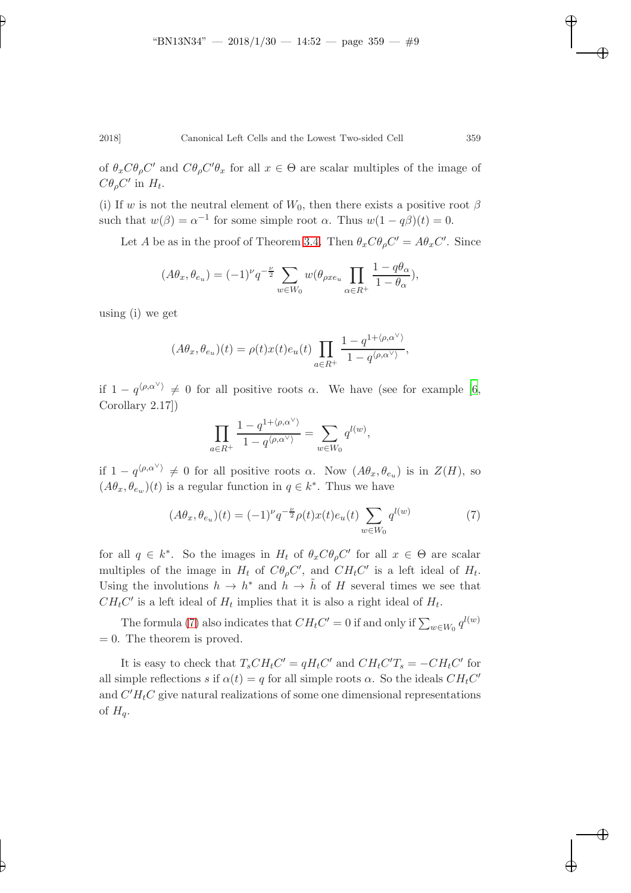of  $\theta_x C \theta_\rho C'$  and  $C \theta_\rho C' \theta_x$  for all  $x \in \Theta$  are scalar multiples of the image of  $C\theta_{\rho}C'$  in  $H_t$ .

(i) If w is not the neutral element of  $W_0$ , then there exists a positive root  $\beta$ such that  $w(\beta) = \alpha^{-1}$  for some simple root  $\alpha$ . Thus  $w(1 - q\beta)(t) = 0$ .

Let A be as in the proof of Theorem [3.4.](#page-5-0) Then  $\theta_x C \theta_\rho C' = A \theta_x C'$ . Since

$$
(A\theta_x, \theta_{e_u}) = (-1)^{\nu} q^{-\frac{\nu}{2}} \sum_{w \in W_0} w(\theta_{\rho x e_u} \prod_{\alpha \in R^+} \frac{1 - q\theta_{\alpha}}{1 - \theta_{\alpha}}),
$$

using (i) we get

$$
(A\theta_x, \theta_{e_u})(t) = \rho(t)x(t)e_u(t)\prod_{a \in R^+} \frac{1 - q^{1 + \langle \rho, \alpha^\vee \rangle}}{1 - q^{\langle \rho, \alpha^\vee \rangle}},
$$

if  $1 - q^{\langle \rho, \alpha^{\vee} \rangle} \neq 0$  for all positive roots  $\alpha$ . We have (see for example [\[6](#page-11-4), Corollary 2.17])

<span id="page-8-0"></span>
$$
\prod_{a \in R^+} \frac{1 - q^{1 + \langle \rho, \alpha^{\vee} \rangle}}{1 - q^{\langle \rho, \alpha^{\vee} \rangle}} = \sum_{w \in W_0} q^{l(w)},
$$

if  $1 - q^{\langle \rho, \alpha^{\vee} \rangle} \neq 0$  for all positive roots  $\alpha$ . Now  $(A\theta_x, \theta_{e_u})$  is in  $Z(H)$ , so  $(A\theta_x, \theta_{e_w})(t)$  is a regular function in  $q \in k^*$ . Thus we have

$$
(A\theta_x, \theta_{e_u})(t) = (-1)^{\nu} q^{-\frac{\nu}{2}} \rho(t) x(t) e_u(t) \sum_{w \in W_0} q^{l(w)} \tag{7}
$$

for all  $q \in k^*$ . So the images in  $H_t$  of  $\theta_x C \theta_\rho C'$  for all  $x \in \Theta$  are scalar multiples of the image in  $H_t$  of  $C\theta_{\rho}C'$ , and  $CH_tC'$  is a left ideal of  $H_t$ . Using the involutions  $h \to h^*$  and  $h \to \tilde{h}$  of H several times we see that  $CH<sub>t</sub>C'$  is a left ideal of  $H<sub>t</sub>$  implies that it is also a right ideal of  $H<sub>t</sub>$ .

The formula [\(7\)](#page-8-0) also indicates that  $CH_tC' = 0$  if and only if  $\sum_{w \in W_0} q^{l(w)}$  $= 0$ . The theorem is proved.

It is easy to check that  $T_sCH_tC' = qH_tC'$  and  $CH_tC'T_s = -CH_tC'$  for all simple reflections s if  $\alpha(t) = q$  for all simple roots  $\alpha$ . So the ideals  $CH<sub>t</sub>C'$ and  $C'H_tC$  give natural realizations of some one dimensional representations of  $H_q$ .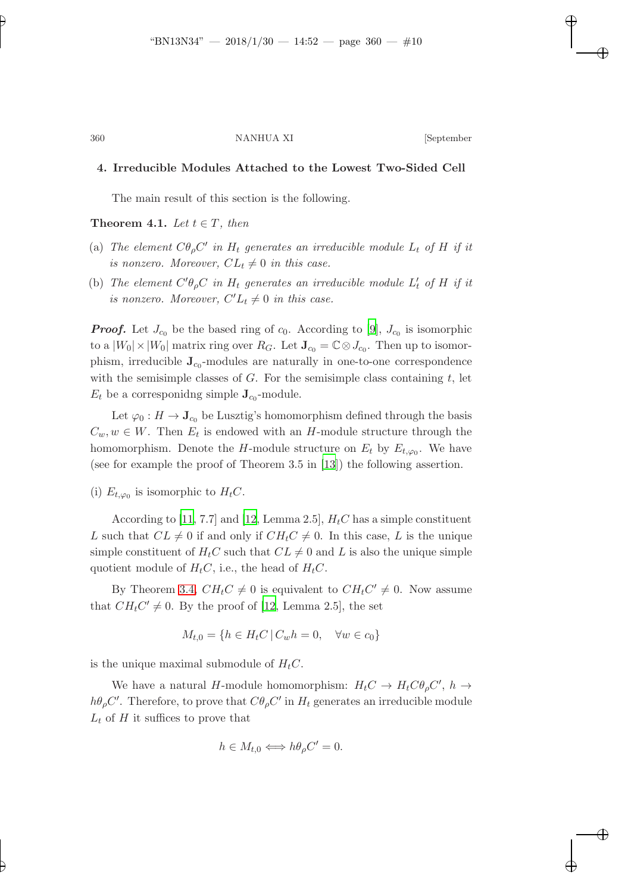# 4. Irreducible Modules Attached to the Lowest Two-Sided Cell

<span id="page-9-0"></span>The main result of this section is the following.

**Theorem 4.1.** Let  $t \in T$ , then

- (a) The element  $C\theta_{\rho}C'$  in  $H_t$  generates an irreducible module  $L_t$  of H if it is nonzero. Moreover,  $CL_t \neq 0$  in this case.
- (b) The element  $C'\theta_{\rho}C$  in  $H_t$  generates an irreducible module  $L'_t$  of H if it is nonzero. Moreover,  $C'L_t \neq 0$  in this case.

**Proof.** Let  $J_{c_0}$  be the based ring of  $c_0$ . According to [\[9\]](#page-12-5),  $J_{c_0}$  is isomorphic to a  $|W_0| \times |W_0|$  matrix ring over  $R_G$ . Let  $\mathbf{J}_{c_0} = \mathbb{C} \otimes J_{c_0}$ . Then up to isomorphism, irreducible  $J_{c_0}$ -modules are naturally in one-to-one correspondence with the semisimple classes of  $G$ . For the semisimple class containing  $t$ , let  $E_t$  be a corresponidng simple  $\mathbf{J}_{c_0}$ -module.

Let  $\varphi_0 : H \to \mathbf{J}_{c_0}$  be Lusztig's homomorphism defined through the basis  $C_w, w \in W$ . Then  $E_t$  is endowed with an H-module structure through the homomorphism. Denote the H-module structure on  $E_t$  by  $E_{t,\varphi_0}$ . We have (see for example the proof of Theorem 3.5 in [\[13](#page-12-1)]) the following assertion.

(i)  $E_{t,\varphi_0}$  is isomorphic to  $H_tC$ .

According to [\[11](#page-12-3), 7.7] and [\[12,](#page-12-6) Lemma 2.5],  $H<sub>t</sub>C$  has a simple constituent L such that  $CL \neq 0$  if and only if  $CH<sub>t</sub>C \neq 0$ . In this case, L is the unique simple constituent of  $H_tC$  such that  $CL \neq 0$  and L is also the unique simple quotient module of  $H<sub>t</sub>C$ , i.e., the head of  $H<sub>t</sub>C$ .

By Theorem [3.4,](#page-5-0)  $CH<sub>t</sub>C \neq 0$  is equivalent to  $CH<sub>t</sub>C' \neq 0$ . Now assume that  $CH<sub>t</sub>C' \neq 0$ . By the proof of [\[12,](#page-12-6) Lemma 2.5], the set

$$
M_{t,0} = \{ h \in H_t C \, | \, C_w h = 0, \quad \forall w \in c_0 \}
$$

is the unique maximal submodule of  $H_tC$ .

We have a natural H-module homomorphism:  $H_tC \to H_tC\theta_{\rho}C', h \to$  $h\theta_{\rho}C'$ . Therefore, to prove that  $C\theta_{\rho}C'$  in  $H_t$  generates an irreducible module  $L_t$  of H it suffices to prove that

$$
h \in M_{t,0} \Longleftrightarrow h\theta_{\rho}C' = 0.
$$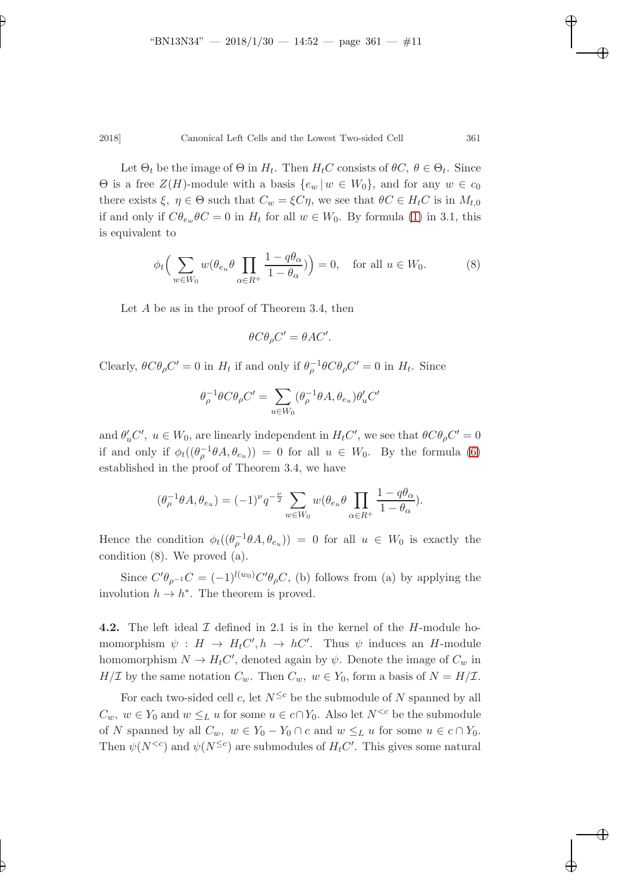Let  $\Theta_t$  be the image of  $\Theta$  in  $H_t$ . Then  $H_tC$  consists of  $\theta C$ ,  $\theta \in \Theta_t$ . Since  $\Theta$  is a free  $Z(H)$ -module with a basis  $\{e_w | w \in W_0\}$ , and for any  $w \in c_0$ there exists  $\xi, \eta \in \Theta$  such that  $C_w = \xi C \eta$ , we see that  $\theta C \in H_t C$  is in  $M_{t,0}$ if and only if  $C\theta_{e_w}\theta C = 0$  in  $H_t$  for all  $w \in W_0$ . By formula [\(1\)](#page-3-0) in 3.1, this is equivalent to

$$
\phi_t \Big( \sum_{w \in W_0} w(\theta_{e_u} \theta \prod_{\alpha \in R^+} \frac{1 - q\theta_\alpha}{1 - \theta_\alpha}) \Big) = 0, \quad \text{for all } u \in W_0.
$$
 (8)

Let A be as in the proof of Theorem 3.4, then

$$
\theta C \theta_{\rho} C' = \theta A C'.
$$

Clearly,  $\theta C \theta_{\rho} C' = 0$  in  $H_t$  if and only if  $\theta_{\rho}^{-1} \theta C \theta_{\rho} C' = 0$  in  $H_t$ . Since

$$
\theta_\rho^{-1}\theta C\theta_\rho C'=\sum_{u\in W_0}(\theta_\rho^{-1}\theta A,\theta_{e_u})\theta_u' C'
$$

and  $\theta'_u C'$ ,  $u \in W_0$ , are linearly independent in  $H_t C'$ , we see that  $\theta C \theta_\rho C' = 0$ if and only if  $\phi_t((\theta_\rho^{-1}\theta A,\theta_{e_u})) = 0$  for all  $u \in W_0$ . By the formula [\(6\)](#page-7-1) established in the proof of Theorem 3.4, we have

$$
(\theta_{\rho}^{-1}\theta A, \theta_{e_u}) = (-1)^{\nu} q^{-\frac{\nu}{2}} \sum_{w \in W_0} w(\theta_{e_u}\theta \prod_{\alpha \in R^+} \frac{1 - q\theta_{\alpha}}{1 - \theta_{\alpha}}).
$$

Hence the condition  $\phi_t((\theta_\rho^{-1}\theta A,\theta_{e_u})) = 0$  for all  $u \in W_0$  is exactly the condition (8). We proved (a).

Since  $C'\theta_{\rho^{-1}}C = (-1)^{l(w_0)}C'\theta_{\rho}C$ , (b) follows from (a) by applying the involution  $h \to h^*$ . The theorem is proved.

**4.2.** The left ideal  $\mathcal I$  defined in 2.1 is in the kernel of the H-module homomorphism  $\psi : H \to H_t C', h \to h C'.$  Thus  $\psi$  induces an *H*-module homomorphism  $N \to H_t C'$ , denoted again by  $\psi$ . Denote the image of  $C_w$  in  $H/\mathcal{I}$  by the same notation  $C_w$ . Then  $C_w$ ,  $w \in Y_0$ , form a basis of  $N = H/\mathcal{I}$ .

For each two-sided cell c, let  $N^{\leq c}$  be the submodule of N spanned by all  $C_w$ ,  $w \in Y_0$  and  $w \leq_L u$  for some  $u \in c \cap Y_0$ . Also let  $N^{< c}$  be the submodule of N spanned by all  $C_w$ ,  $w \in Y_0 - Y_0 \cap c$  and  $w \leq_L u$  for some  $u \in c \cap Y_0$ . Then  $\psi(N^{\leq c})$  and  $\psi(N^{\leq c})$  are submodules of  $H<sub>t</sub>C'$ . This gives some natural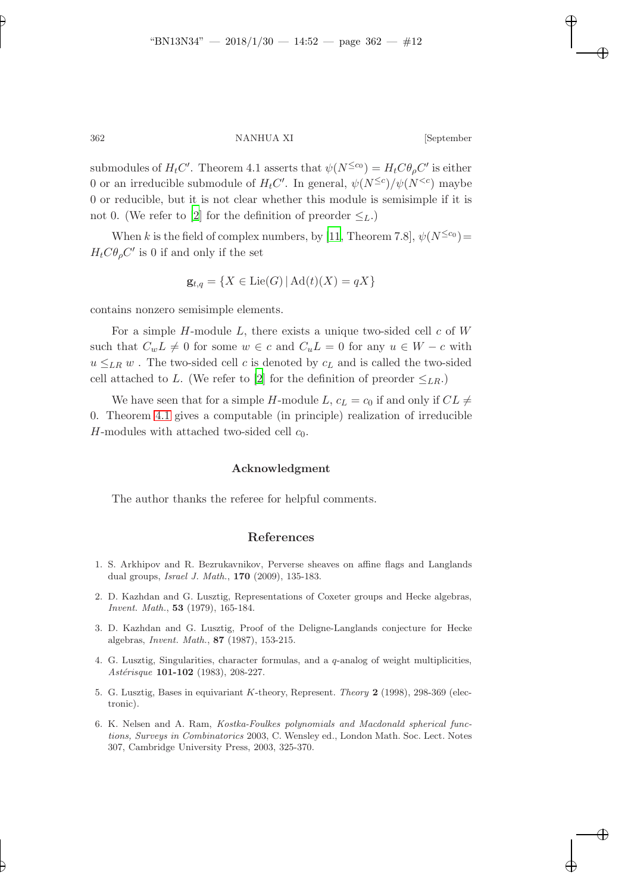submodules of  $H_tC'$ . Theorem 4.1 asserts that  $\psi(N^{\leq c_0}) = H_tC\theta_{\rho}C'$  is either 0 or an irreducible submodule of  $H_tC'$ . In general,  $\psi(N^{\leq c})/\psi(N^{< c})$  maybe 0 or reducible, but it is not clear whether this module is semisimple if it is not 0. (We refer to [\[2\]](#page-11-1) for the definition of preorder  $\leq_L$ .)

When k is the field of complex numbers, by [\[11,](#page-12-3) Theorem 7.8],  $\psi(N^{\leq c_0})$  =  $H_t C \theta_\rho C'$  is 0 if and only if the set

$$
\mathbf{g}_{t,q} = \{ X \in \text{Lie}(G) \, | \, \text{Ad}(t)(X) = qX \}
$$

contains nonzero semisimple elements.

For a simple  $H$ -module  $L$ , there exists a unique two-sided cell  $c$  of  $W$ such that  $C_wL \neq 0$  for some  $w \in c$  and  $C_uL = 0$  for any  $u \in W - c$  with  $u \leq_{LR} w$ . The two-sided cell c is denoted by  $c<sub>L</sub>$  and is called the two-sided cell attached to L. (We refer to [\[2](#page-11-1)] for the definition of preorder  $\leq_{LR}$ .)

We have seen that for a simple H-module L,  $c_L = c_0$  if and only if  $CL \neq$ 0. Theorem [4.1](#page-9-0) gives a computable (in principle) realization of irreducible H-modules with attached two-sided cell  $c_0$ .

#### Acknowledgment

The author thanks the referee for helpful comments.

# References

- <span id="page-11-0"></span>1. S. Arkhipov and R. Bezrukavnikov, Perverse sheaves on affine flags and Langlands dual groups, Israel J. Math., 170 (2009), 135-183.
- <span id="page-11-1"></span>2. D. Kazhdan and G. Lusztig, Representations of Coxeter groups and Hecke algebras, Invent. Math., 53 (1979), 165-184.
- <span id="page-11-5"></span>3. D. Kazhdan and G. Lusztig, Proof of the Deligne-Langlands conjecture for Hecke algebras, Invent. Math., 87 (1987), 153-215.
- <span id="page-11-2"></span>4. G. Lusztig, Singularities, character formulas, and a  $q$ -analog of weight multiplicities, Astérisque 101-102 (1983), 208-227.
- <span id="page-11-3"></span>5. G. Lusztig, Bases in equivariant K-theory, Represent. Theory 2 (1998), 298-369 (electronic).
- <span id="page-11-4"></span>6. K. Nelsen and A. Ram, Kostka-Foulkes polynomials and Macdonald spherical functions, Surveys in Combinatorics 2003, C. Wensley ed., London Math. Soc. Lect. Notes 307, Cambridge University Press, 2003, 325-370.